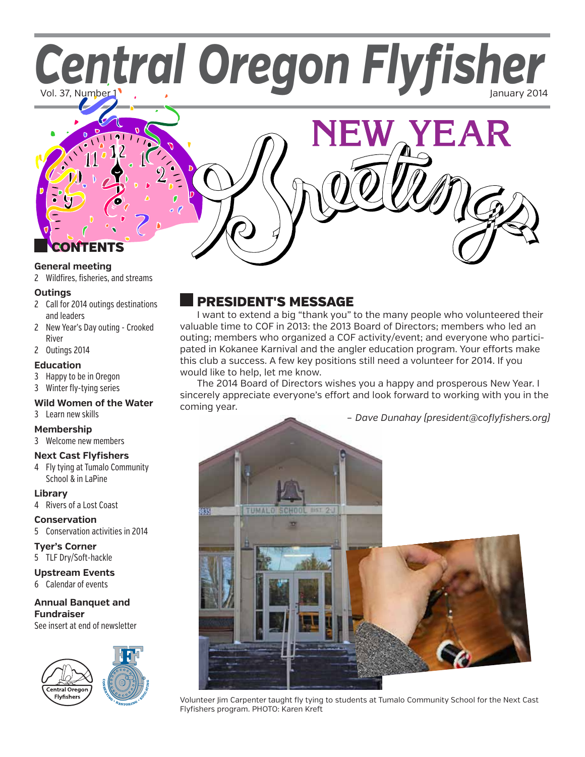Central Oregon Flyfisher



#### **General meeting**

2 Wildfires, fisheries, and streams

#### **Outings**

- 2 Call for 2014 outings destinations and leaders
- 2 New Year's Day outing Crooked River
- 2 Outings 2014

#### **Education**

- 3 Happy to be in Oregon
- 3 Winter fly-tying series

#### **Wild Women of the Water**

3 Learn new skills

#### **Membership**

3 Welcome new members

#### **Next Cast Flyfishers**

4 Fly tying at Tumalo Community School & in LaPine

**Library** 4 Rivers of a Lost Coast

**Conservation**

5 Conservation activities in 2014

**Tyer's Corner** 5 TLF Dry/Soft-hackle

**Upstream Events** 6 Calendar of events

#### **Annual Banquet and Fundraiser**

See insert at end of newsletter





# PRESIDENT'S MESSAGE

I want to extend a big "thank you" to the many people who volunteered their valuable time to COF in 2013: the 2013 Board of Directors; members who led an outing; members who organized a COF activity/event; and everyone who participated in Kokanee Karnival and the angler education program. Your efforts make this club a success. A few key positions still need a volunteer for 2014. If you would like to help, let me know.

The 2014 Board of Directors wishes you a happy and prosperous New Year. I sincerely appreciate everyone's effort and look forward to working with you in the coming year.

*– Dave Dunahay (president@coflyfishers.org)*



Volunteer Jim Carpenter taught fly tying to students at Tumalo Community School for the Next Cast Flyfishers program. PHOTO: Karen Kreft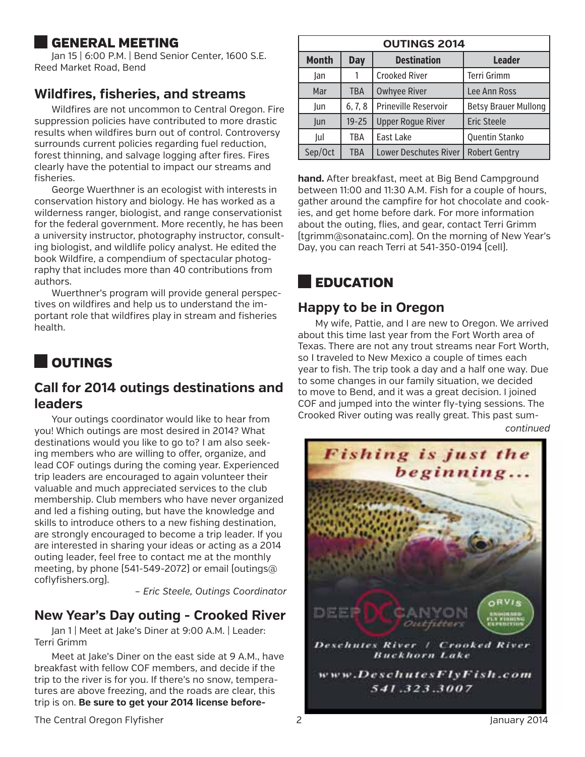# General meeting

Jan 15 | 6:00 P.M. | Bend Senior Center, 1600 S.E. Reed Market Road, Bend

## **Wildfires, fisheries, and streams**

Wildfires are not uncommon to Central Oregon. Fire suppression policies have contributed to more drastic results when wildfires burn out of control. Controversy surrounds current policies regarding fuel reduction, forest thinning, and salvage logging after fires. Fires clearly have the potential to impact our streams and fisheries.

George Wuerthner is an ecologist with interests in conservation history and biology. He has worked as a wilderness ranger, biologist, and range conservationist for the federal government. More recently, he has been a university instructor, photography instructor, consulting biologist, and wildlife policy analyst. He edited the book Wildfire, a compendium of spectacular photography that includes more than 40 contributions from authors.

Wuerthner's program will provide general perspectives on wildfires and help us to understand the important role that wildfires play in stream and fisheries health.

# **NOUTINGS**

## **Call for 2014 outings destinations and leaders**

Your outings coordinator would like to hear from you! Which outings are most desired in 2014? What destinations would you like to go to? I am also seeking members who are willing to offer, organize, and lead COF outings during the coming year. Experienced trip leaders are encouraged to again volunteer their valuable and much appreciated services to the club membership. Club members who have never organized and led a fishing outing, but have the knowledge and skills to introduce others to a new fishing destination, are strongly encouraged to become a trip leader. If you are interested in sharing your ideas or acting as a 2014 outing leader, feel free to contact me at the monthly meeting, by phone (541-549-2072) or email (outings@ coflyfishers.org).

*– Eric Steele, Outings Coordinator*

## **New Year's Day outing - Crooked River**

Jan 1 | Meet at Jake's Diner at 9:00 A.M. | Leader: Terri Grimm

Meet at Jake's Diner on the east side at 9 A.M., have breakfast with fellow COF members, and decide if the trip to the river is for you. If there's no snow, temperatures are above freezing, and the roads are clear, this trip is on. **Be sure to get your 2014 license before-**

| <b>OUTINGS 2014</b> |            |                                                |                             |  |  |  |  |
|---------------------|------------|------------------------------------------------|-----------------------------|--|--|--|--|
| <b>Month</b>        | <b>Day</b> | <b>Destination</b>                             | <b>Leader</b>               |  |  |  |  |
| lan                 |            | Terri Grimm<br><b>Crooked River</b>            |                             |  |  |  |  |
| Mar                 | TBA        | <b>Owhyee River</b>                            | Lee Ann Ross                |  |  |  |  |
| Jun                 | 6, 7, 8    | Prineville Reservoir                           | <b>Betsy Brauer Mullong</b> |  |  |  |  |
| Jun                 | $19 - 25$  | <b>Upper Roque River</b><br><b>Eric Steele</b> |                             |  |  |  |  |
| lul                 | TBA        | East Lake                                      | Quentin Stanko              |  |  |  |  |
| Sep/Oct             | TBA        | <b>Lower Deschutes River</b>                   | <b>Robert Gentry</b>        |  |  |  |  |

**hand.** After breakfast, meet at Big Bend Campground between 11:00 and 11:30 A.M. Fish for a couple of hours, gather around the campfire for hot chocolate and cookies, and get home before dark. For more information about the outing, flies, and gear, contact Terri Grimm (tgrimm@sonatainc.com). On the morning of New Year's Day, you can reach Terri at 541-350-0194 (cell).

# **EDUCATION**

## **Happy to be in Oregon**

My wife, Pattie, and I are new to Oregon. We arrived about this time last year from the Fort Worth area of Texas. There are not any trout streams near Fort Worth, so I traveled to New Mexico a couple of times each year to fish. The trip took a day and a half one way. Due to some changes in our family situation, we decided to move to Bend, and it was a great decision. I joined COF and jumped into the winter fly-tying sessions. The Crooked River outing was really great. This past sum-

*continued*

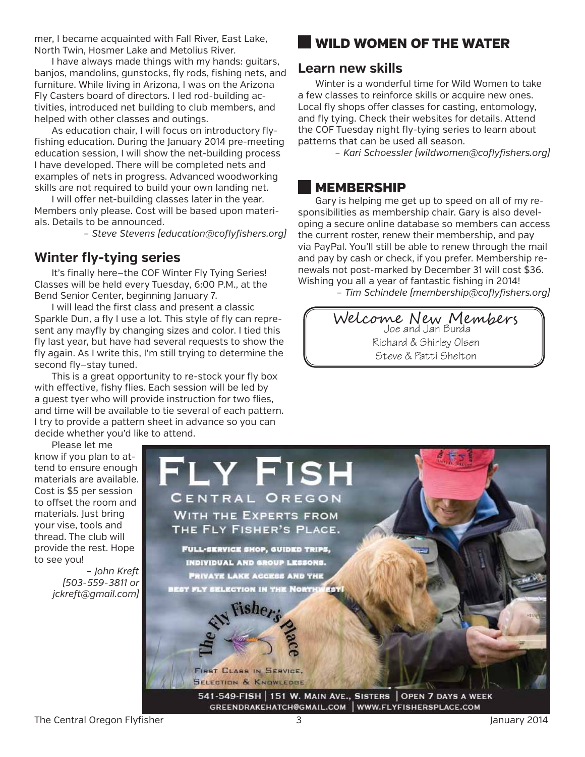mer, I became acquainted with Fall River, East Lake, North Twin, Hosmer Lake and Metolius River.

I have always made things with my hands: guitars, banjos, mandolins, gunstocks, fly rods, fishing nets, and furniture. While living in Arizona, I was on the Arizona Fly Casters board of directors. I led rod-building activities, introduced net building to club members, and helped with other classes and outings.

As education chair, I will focus on introductory flyfishing education. During the January 2014 pre-meeting education session, I will show the net-building process I have developed. There will be completed nets and examples of nets in progress. Advanced woodworking skills are not required to build your own landing net.

I will offer net-building classes later in the year. Members only please. Cost will be based upon materials. Details to be announced.

*– Steve Stevens (education@coflyfishers.org)*

## **Winter fly-tying series**

It's finally here—the COF Winter Fly Tying Series! Classes will be held every Tuesday, 6:00 P.M., at the Bend Senior Center, beginning January 7.

I will lead the first class and present a classic Sparkle Dun, a fly I use a lot. This style of fly can represent any mayfly by changing sizes and color. I tied this fly last year, but have had several requests to show the fly again. As I write this, I'm still trying to determine the second fly—stay tuned.

This is a great opportunity to re-stock your fly box with effective, fishy flies. Each session will be led by a guest tyer who will provide instruction for two flies, and time will be available to tie several of each pattern. I try to provide a pattern sheet in advance so you can decide whether you'd like to attend.

Please let me know if you plan to attend to ensure enough materials are available. Cost is \$5 per session to offset the room and materials. Just bring your vise, tools and thread. The club will provide the rest. Hope to see you!

> *– John Kreft (503-559-3811 or jckreft@gmail.com)*

# Wild Women of the Water

#### **Learn new skills**

Winter is a wonderful time for Wild Women to take a few classes to reinforce skills or acquire new ones. Local fly shops offer classes for casting, entomology, and fly tying. Check their websites for details. Attend the COF Tuesday night fly-tying series to learn about patterns that can be used all season.

*– Kari Schoessler (wildwomen@coflyfishers.org)*

#### **MEMBERSHIP**

Gary is helping me get up to speed on all of my responsibilities as membership chair. Gary is also developing a secure online database so members can access the current roster, renew their membership, and pay via PayPal. You'll still be able to renew through the mail and pay by cash or check, if you prefer. Membership renewals not post-marked by December 31 will cost \$36. Wishing you all a year of fantastic fishing in 2014!

*– Tim Schindele (membership@coflyfishers.org)* 

 Joe and Jan Burda Welcome New MembersRichard & Shirley Olsen Steve & Patti Shelton

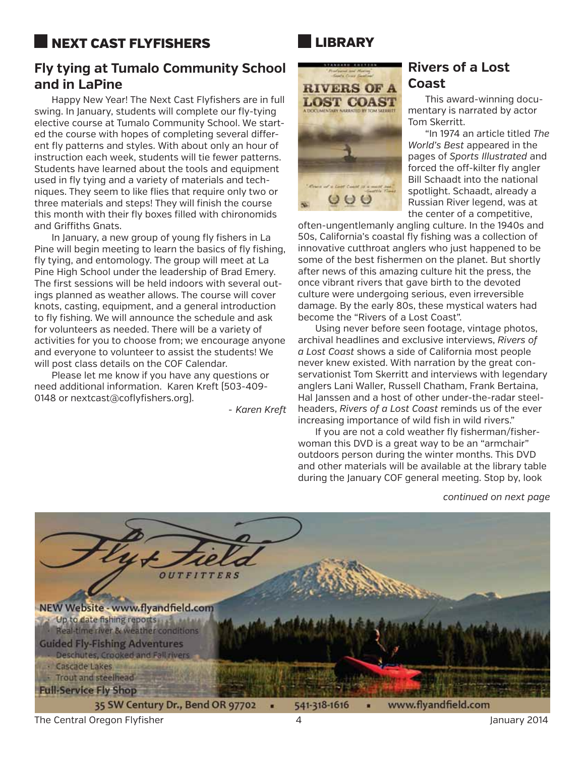# next cast flyfishers

## **Fly tying at Tumalo Community School and in LaPine**

Happy New Year! The Next Cast Flyfishers are in full swing. In January, students will complete our fly-tying elective course at Tumalo Community School. We started the course with hopes of completing several different fly patterns and styles. With about only an hour of instruction each week, students will tie fewer patterns. Students have learned about the tools and equipment used in fly tying and a variety of materials and techniques. They seem to like flies that require only two or three materials and steps! They will finish the course this month with their fly boxes filled with chironomids and Griffiths Gnats.

In January, a new group of young fly fishers in La Pine will begin meeting to learn the basics of fly fishing, fly tying, and entomology. The group will meet at La Pine High School under the leadership of Brad Emery. The first sessions will be held indoors with several outings planned as weather allows. The course will cover knots, casting, equipment, and a general introduction to fly fishing. We will announce the schedule and ask for volunteers as needed. There will be a variety of activities for you to choose from; we encourage anyone and everyone to volunteer to assist the students! We will post class details on the COF Calendar.

Please let me know if you have any questions or need additional information. Karen Kreft (503-409- 0148 or nextcast@coflyfishers.org).

*- Karen Kreft* 





## **Rivers of a Lost Coast**

This award-winning documentary is narrated by actor Tom Skerritt.

"In 1974 an article titled *The World's Best* appeared in the pages of *Sports Illustrated* and forced the off-kilter fly angler Bill Schaadt into the national spotlight. Schaadt, already a Russian River legend, was at the center of a competitive,

often-ungentlemanly angling culture. In the 1940s and 50s, California's coastal fly fishing was a collection of innovative cutthroat anglers who just happened to be some of the best fishermen on the planet. But shortly after news of this amazing culture hit the press, the once vibrant rivers that gave birth to the devoted culture were undergoing serious, even irreversible damage. By the early 80s, these mystical waters had become the "Rivers of a Lost Coast".

Using never before seen footage, vintage photos, archival headlines and exclusive interviews, *Rivers of a Lost Coast* shows a side of California most people never knew existed. With narration by the great conservationist Tom Skerritt and interviews with legendary anglers Lani Waller, Russell Chatham, Frank Bertaina, Hal Janssen and a host of other under-the-radar steelheaders, *Rivers of a Lost Coast* reminds us of the ever increasing importance of wild fish in wild rivers."

If you are not a cold weather fly fisherman/fisherwoman this DVD is a great way to be an "armchair" outdoors person during the winter months. This DVD and other materials will be available at the library table during the January COF general meeting. Stop by, look

*continued on next page*



The Central Oregon Flyfisher 1988 and 2014 and 2014 and 2014 and 2014 and 2014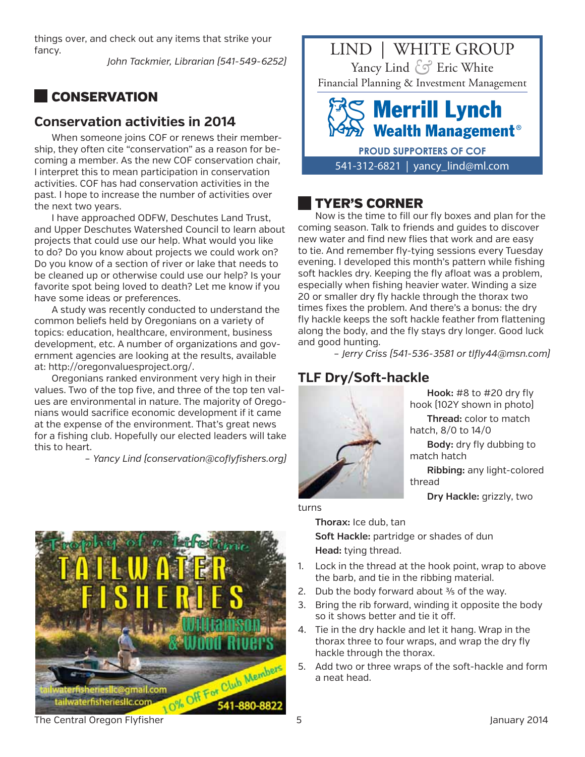things over, and check out any items that strike your fancy.

*John Tackmier, Librarian (541-549-6252)*

## **CONSERVATION**

#### **Conservation activities in 2014**

When someone joins COF or renews their membership, they often cite "conservation" as a reason for becoming a member. As the new COF conservation chair, I interpret this to mean participation in conservation activities. COF has had conservation activities in the past. I hope to increase the number of activities over the next two years.

I have approached ODFW, Deschutes Land Trust, and Upper Deschutes Watershed Council to learn about projects that could use our help. What would you like to do? Do you know about projects we could work on? Do you know of a section of river or lake that needs to be cleaned up or otherwise could use our help? Is your favorite spot being loved to death? Let me know if you have some ideas or preferences.

A study was recently conducted to understand the common beliefs held by Oregonians on a variety of topics: education, healthcare, environment, business development, etc. A number of organizations and government agencies are looking at the results, available at: http://oregonvaluesproject.org/.

Oregonians ranked environment very high in their values. Two of the top five, and three of the top ten values are environmental in nature. The majority of Oregonians would sacrifice economic development if it came at the expense of the environment. That's great news for a fishing club. Hopefully our elected leaders will take this to heart.

*– Yancy Lind (conservation@coflyfishers.org)* 



LIND | WHITE GROUP Yancy Lind Eric White *&*  Financial Planning & Investment Management

# **Merrill Lynch Wealth Management<sup>®</sup> PROUD SUPPORTERS OF COF** 541-312-6821 | yancy\_lind@ml.com

## tyer's corner

Now is the time to fill our fly boxes and plan for the coming season. Talk to friends and guides to discover new water and find new flies that work and are easy to tie. And remember fly-tying sessions every Tuesday evening. I developed this month's pattern while fishing soft hackles dry. Keeping the fly afloat was a problem, especially when fishing heavier water. Winding a size 20 or smaller dry fly hackle through the thorax two times fixes the problem. And there's a bonus: the dry fly hackle keeps the soft hackle feather from flattening along the body, and the fly stays dry longer. Good luck and good hunting.

*– Jerry Criss (541-536-3581 or tlfly44@msn.com)*

## **TLF Dry/Soft-hackle**



**Hook:** #8 to #20 dry fly hook (102Y shown in photo) **Thread:** color to match hatch, 8/0 to 14/0 **Body:** dry fly dubbing to match hatch **Ribbing:** any light-colored thread

**Dry Hackle:** grizzly, two

turns

**Thorax:** Ice dub, tan **Soft Hackle:** partridge or shades of dun **Head:** tying thread.

- 1. Lock in the thread at the hook point, wrap to above the barb, and tie in the ribbing material.
- 2. Dub the body forward about  $\frac{3}{5}$  of the way.
- 3. Bring the rib forward, winding it opposite the body so it shows better and tie it off.
- 4. Tie in the dry hackle and let it hang. Wrap in the thorax three to four wraps, and wrap the dry fly hackle through the thorax.
- 5. Add two or three wraps of the soft-hackle and form a neat head.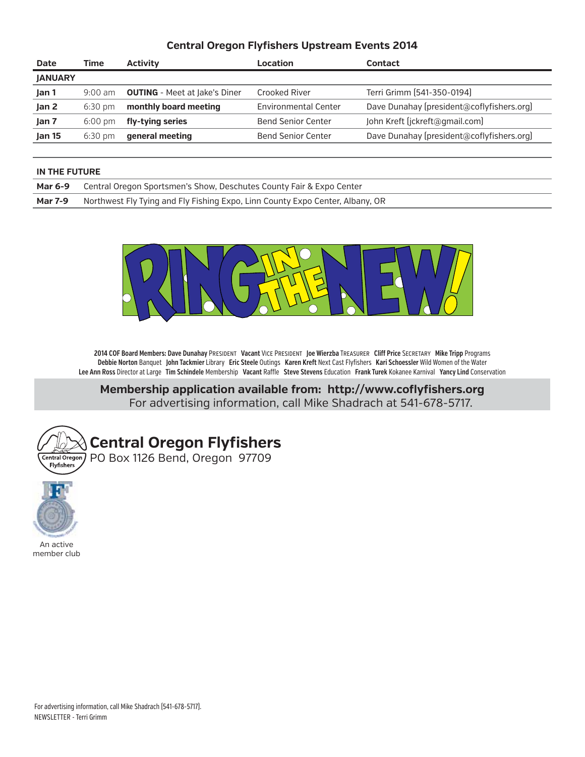#### **Central Oregon Flyfishers Upstream Events 2014**

| <b>Date</b>    | Time              | <b>Activity</b>                      | Location                    | Contact                                   |  |
|----------------|-------------------|--------------------------------------|-----------------------------|-------------------------------------------|--|
| <b>JANUARY</b> |                   |                                      |                             |                                           |  |
| Jan 1          | $9:00 \text{ am}$ | <b>OUTING</b> - Meet at lake's Diner | <b>Crooked River</b>        | Terri Grimm [541-350-0194]                |  |
| Jan 2          | $6:30$ pm         | monthly board meeting                | <b>Environmental Center</b> | Dave Dunahay (president@coflyfishers.org) |  |
| Jan 7          | $6:00 \text{ pm}$ | fly-tying series                     | <b>Bend Senior Center</b>   | John Kreft (jckreft@gmail.com)            |  |
| <b>Jan 15</b>  | $6:30$ pm         | general meeting                      | <b>Bend Senior Center</b>   | Dave Dunahay (president@coflyfishers.org) |  |
|                |                   |                                      |                             |                                           |  |

#### **IN THE FUTURE**

|         | <b>Mar 6-9</b> Central Oregon Sportsmen's Show, Deschutes County Fair & Expo Center |
|---------|-------------------------------------------------------------------------------------|
| Mar 7-9 | Northwest Fly Tying and Fly Fishing Expo, Linn County Expo Center, Albany, OR       |



**2014 COF Board Members: Dave Dunahay** President **Vacant** Vice President **Joe Wierzba** Treasurer **Cliff Price** Secretary **Mike Tripp** Programs **Debbie Norton** Banquet **John Tackmier** Library **Eric Steele** Outings **Karen Kreft** Next Cast Flyfishers **Kari Schoessler** Wild Women of the Water **Lee Ann Ross** Director at Large **Tim Schindele** Membership **Vacant** Raffle **Steve Stevens** Education **Frank Turek** Kokanee Karnival **Yancy Lind** Conservation

**Membership application available from: http://www.coflyfishers.org**  For advertising information, call Mike Shadrach at 541-678-5717.





An active member club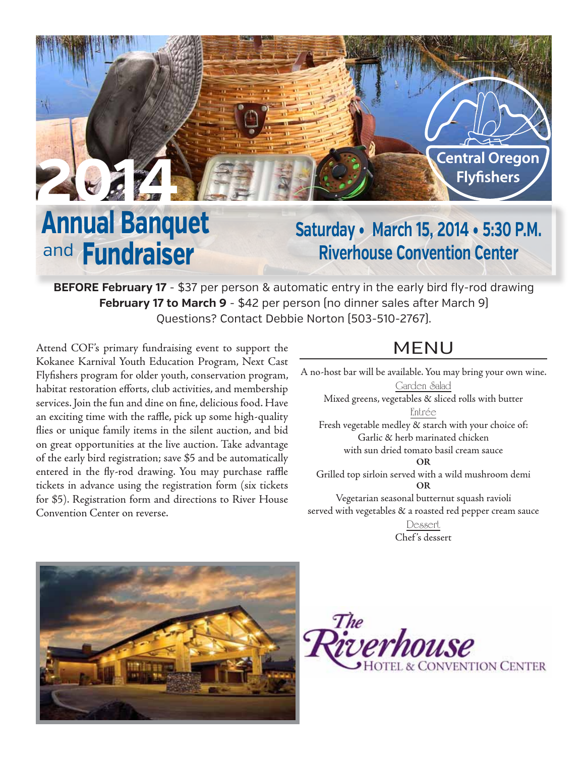

# **Annual Banquet** and **Fundraiser**

# **Saturday • March 15, 2014 • 5:30 P.M. Riverhouse Convention Center**

**BEFORE February 17** - \$37 per person & automatic entry in the early bird fly-rod drawing **February 17 to March 9** - \$42 per person (no dinner sales after March 9) Questions? Contact Debbie Norton (503-510-2767).

Attend COF's primary fundraising event to support the Kokanee Karnival Youth Education Program, Next Cast Flyfishers program for older youth, conservation program, habitat restoration efforts, club activities, and membership services. Join the fun and dine on fine, delicious food. Have an exciting time with the raffle, pick up some high-quality flies or unique family items in the silent auction, and bid on great opportunities at the live auction. Take advantage of the early bird registration; save \$5 and be automatically entered in the fly-rod drawing. You may purchase raffle tickets in advance using the registration form (six tickets for \$5). Registration form and directions to River House Convention Center on reverse.

# MENU

A no-host bar will be available. You may bring your own wine. Garden Salad Mixed greens, vegetables & sliced rolls with butter Entrée Fresh vegetable medley & starch with your choice of: Garlic & herb marinated chicken with sun dried tomato basil cream sauce **OR** Grilled top sirloin served with a wild mushroom demi **OR** Vegetarian seasonal butternut squash ravioli served with vegetables & a roasted red pepper cream sauce

Dessert Chef 's dessert